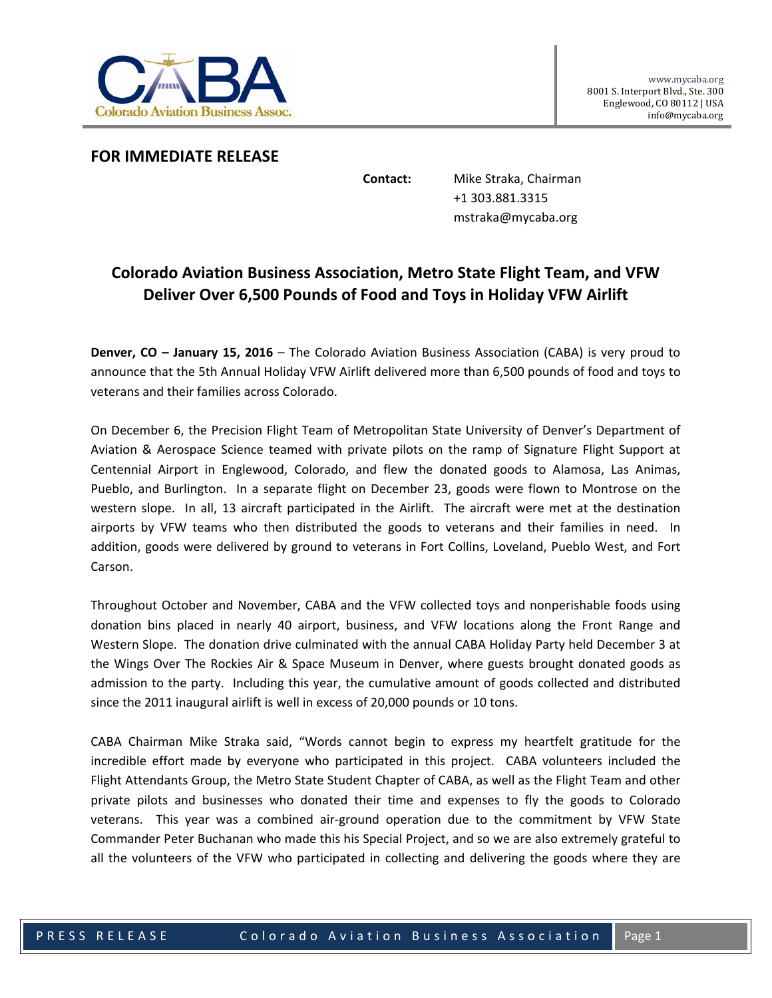

## **FOR IMMEDIATE RELEASE**

**Contact:** Mike Straka, Chairman +1 303.881.3315 mstraka@mycaba.org

## **Colorado Aviation Business Association, Metro State Flight Team, and VFW Deliver Over 6,500 Pounds of Food and Toys in Holiday VFW Airlift**

**Denver, CO – January 15, 2016** – The Colorado Aviation Business Association (CABA) is very proud to announce that the 5th Annual Holiday VFW Airlift delivered more than 6,500 pounds of food and toys to veterans and their families across Colorado.

On December 6, the Precision Flight Team of Metropolitan State University of Denver's Department of Aviation & Aerospace Science teamed with private pilots on the ramp of Signature Flight Support at Centennial Airport in Englewood, Colorado, and flew the donated goods to Alamosa, Las Animas, Pueblo, and Burlington. In a separate flight on December 23, goods were flown to Montrose on the western slope. In all, 13 aircraft participated in the Airlift. The aircraft were met at the destination airports by VFW teams who then distributed the goods to veterans and their families in need. In addition, goods were delivered by ground to veterans in Fort Collins, Loveland, Pueblo West, and Fort Carson.

Throughout October and November, CABA and the VFW collected toys and nonperishable foods using donation bins placed in nearly 40 airport, business, and VFW locations along the Front Range and Western Slope. The donation drive culminated with the annual CABA Holiday Party held December 3 at the Wings Over The Rockies Air & Space Museum in Denver, where guests brought donated goods as admission to the party. Including this year, the cumulative amount of goods collected and distributed since the 2011 inaugural airlift is well in excess of 20,000 pounds or 10 tons.

CABA Chairman Mike Straka said, "Words cannot begin to express my heartfelt gratitude for the incredible effort made by everyone who participated in this project. CABA volunteers included the Flight Attendants Group, the Metro State Student Chapter of CABA, as well as the Flight Team and other private pilots and businesses who donated their time and expenses to fly the goods to Colorado veterans. This year was a combined air‐ground operation due to the commitment by VFW State Commander Peter Buchanan who made this his Special Project, and so we are also extremely grateful to all the volunteers of the VFW who participated in collecting and delivering the goods where they are